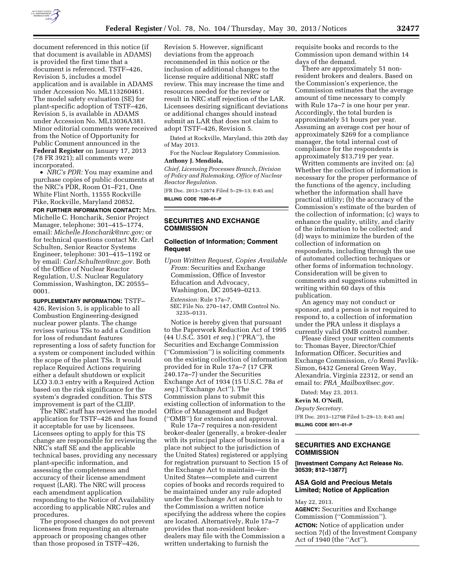

document referenced in this notice (if that document is available in ADAMS) is provided the first time that a document is referenced. TSTF–426, Revision 5, includes a model application and is available in ADAMS under Accession No. ML113260461. The model safety evaluation (SE) for plant-specific adoption of TSTF–426, Revision 5, is available in ADAMS under Accession No. ML13036A381. Minor editorial comments were received from the Notice of Opportunity for Public Comment announced in the **Federal Register** on January 17, 2013 (78 FR 3921); all comments were incorporated.

• *NRC's PDR:* You may examine and purchase copies of public documents at the NRC's PDR, Room O1–F21, One White Flint North, 11555 Rockville Pike, Rockville, Maryland 20852.

**FOR FURTHER INFORMATION CONTACT:** Mrs. Michelle C. Honcharik, Senior Project Manager, telephone: 301–415–1774, email: *[Michelle.Honcharik@nrc.gov;](mailto:Michelle.Honcharik@nrc.gov)* or for technical questions contact Mr. Carl Schulten, Senior Reactor Systems Engineer, telephone: 301–415–1192 or by email: *[Carl.Schulten@nrc.gov.](mailto:Carl.Schulten@nrc.gov)* Both of the Office of Nuclear Reactor Regulation, U.S. Nuclear Regulatory Commission, Washington, DC 20555– 0001.

**SUPPLEMENTARY INFORMATION:** TSTF– 426, Revision 5, is applicable to all Combustion Engineering-designed nuclear power plants. The change revises various TSs to add a Condition for loss of redundant features representing a loss of safety function for a system or component included within the scope of the plant TSs. It would replace Required Actions requiring either a default shutdown or explicit LCO 3.0.3 entry with a Required Action based on the risk significance for the system's degraded condition. This STS improvement is part of the CLIIP.

The NRC staff has reviewed the model application for TSTF–426 and has found it acceptable for use by licensees. Licensees opting to apply for this TS change are responsible for reviewing the NRC's staff SE and the applicable technical bases, providing any necessary plant-specific information, and assessing the completeness and accuracy of their license amendment request (LAR). The NRC will process each amendment application responding to the Notice of Availability according to applicable NRC rules and procedures.

The proposed changes do not prevent licensees from requesting an alternate approach or proposing changes other than those proposed in TSTF–426,

Revision 5. However, significant deviations from the approach recommended in this notice or the inclusion of additional changes to the license require additional NRC staff review. This may increase the time and resources needed for the review or result in NRC staff rejection of the LAR. Licensees desiring significant deviations or additional changes should instead submit an LAR that does not claim to adopt TSTF–426, Revision 5.

Dated at Rockville, Maryland, this 20th day of May 2013.

For the Nuclear Regulatory Commission. **Anthony J. Mendiola,** 

*Chief, Licensing Processes Branch, Division of Policy and Rulemaking, Office of Nuclear Reactor Regulation.* 

[FR Doc. 2013–12874 Filed 5–29–13; 8:45 am] **BILLING CODE 7590–01–P** 

**SECURITIES AND EXCHANGE COMMISSION** 

# **Collection of Information; Comment Request**

*Upon Written Request, Copies Available From:* Securities and Exchange Commission, Office of Investor Education and Advocacy, Washington, DC 20549–0213.

*Extension:* Rule 17a–7, SEC File No. 270–147, OMB Control No. 3235–0131.

Notice is hereby given that pursuant to the Paperwork Reduction Act of 1995 (44 U.S.C. 3501 *et seq.*) (''PRA''), the Securities and Exchange Commission (''Commission'') is soliciting comments on the existing collection of information provided for in Rule 17a–7 (17 CFR 240.17a–7) under the Securities Exchange Act of 1934 (15 U.S.C. 78a *et seq.*) (''Exchange Act''). The Commission plans to submit this existing collection of information to the Office of Management and Budget (''OMB'') for extension and approval.

Rule 17a–7 requires a non-resident broker-dealer (generally, a broker-dealer with its principal place of business in a place not subject to the jurisdiction of the United States) registered or applying for registration pursuant to Section 15 of the Exchange Act to maintain—in the United States—complete and current copies of books and records required to be maintained under any rule adopted under the Exchange Act and furnish to the Commission a written notice specifying the address where the copies are located. Alternatively, Rule 17a–7 provides that non-resident brokerdealers may file with the Commission a written undertaking to furnish the

requisite books and records to the Commission upon demand within 14 days of the demand.

There are approximately 51 nonresident brokers and dealers. Based on the Commission's experience, the Commission estimates that the average amount of time necessary to comply with Rule 17a–7 is one hour per year. Accordingly, the total burden is approximately 51 hours per year. Assuming an average cost per hour of approximately \$269 for a compliance manager, the total internal cost of compliance for the respondents is approximately \$13,719 per year.

Written comments are invited on: (a) Whether the collection of information is necessary for the proper performance of the functions of the agency, including whether the information shall have practical utility; (b) the accuracy of the Commission's estimate of the burden of the collection of information; (c) ways to enhance the quality, utility, and clarity of the information to be collected; and (d) ways to minimize the burden of the collection of information on respondents, including through the use of automated collection techniques or other forms of information technology. Consideration will be given to comments and suggestions submitted in writing within 60 days of this publication.

An agency may not conduct or sponsor, and a person is not required to respond to, a collection of information under the PRA unless it displays a currently valid OMB control number.

Please direct your written comments to: Thomas Bayer, Director/Chief Information Officer, Securities and Exchange Commission, c/o Remi Pavlik-Simon, 6432 General Green Way, Alexandria, Virginia 22312, or send an email to: *PRA*\_*[Mailbox@sec.gov.](mailto:PRA_Mailbox@sec.gov)* 

Dated: May 23, 2013.

# **Kevin M. O'Neill,**

*Deputy Secretary.* 

[FR Doc. 2013–12798 Filed 5–29–13; 8:45 am] **BILLING CODE 8011–01–P** 

# **SECURITIES AND EXCHANGE COMMISSION**

**[Investment Company Act Release No. 30539; 812–13877]** 

# **ASA Gold and Precious Metals Limited; Notice of Application**

May 22, 2013.

**AGENCY:** Securities and Exchange Commission (''Commission''). **ACTION:** Notice of application under section 7(d) of the Investment Company Act of 1940 (the ''Act'').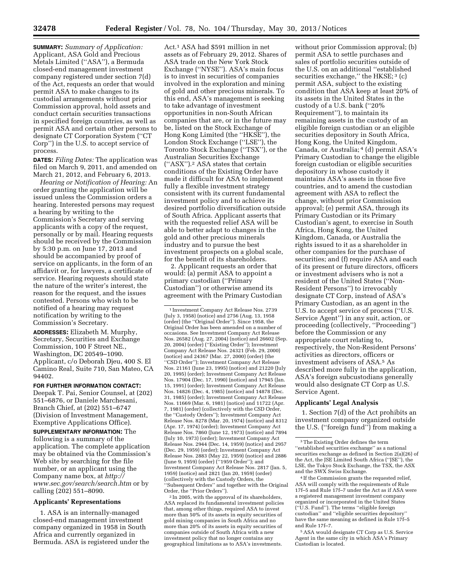**SUMMARY:** *Summary of Application:*  Applicant, ASA Gold and Precious Metals Limited (''ASA''), a Bermuda closed-end management investment company registered under section 7(d) of the Act, requests an order that would permit ASA to make changes to its custodial arrangements without prior Commission approval, hold assets and conduct certain securities transactions in specified foreign countries, as well as permit ASA and certain other persons to designate CT Corporation System (''CT Corp'') in the U.S. to accept service of process.

**DATES:** *Filing Dates:* The application was filed on March 9, 2011, and amended on March 21, 2012, and February 6, 2013.

*Hearing or Notification of Hearing:* An order granting the application will be issued unless the Commission orders a hearing. Interested persons may request a hearing by writing to the Commission's Secretary and serving applicants with a copy of the request, personally or by mail. Hearing requests should be received by the Commission by 5:30 p.m. on June 17, 2013 and should be accompanied by proof of service on applicants, in the form of an affidavit or, for lawyers, a certificate of service. Hearing requests should state the nature of the writer's interest, the reason for the request, and the issues contested. Persons who wish to be notified of a hearing may request notification by writing to the Commission's Secretary.

**ADDRESSES:** Elizabeth M. Murphy, Secretary, Securities and Exchange Commission, 100 F Street NE., Washington, DC 20549–1090. Applicant, c/o Deborah Djeu, 400 S. El Camino Real, Suite 710, San Mateo, CA 94402.

# **FOR FURTHER INFORMATION CONTACT:**

Deepak T. Pai, Senior Counsel, at (202) 551–6876, or Daniele Marchesani, Branch Chief, at (202) 551–6747 (Division of Investment Management, Exemptive Applications Office).

**SUPPLEMENTARY INFORMATION:** The following is a summary of the application. The complete application may be obtained via the Commission's Web site by searching for the file number, or an applicant using the Company name box, at *[http://](http://www.sec.gov/search/search.htm) [www.sec.gov/search/search.htm](http://www.sec.gov/search/search.htm)* or by calling (202) 551–8090.

## **Applicants' Representations**

1. ASA is an internally-managed closed-end management investment company organized in 1958 in South Africa and currently organized in Bermuda. ASA is registered under the

Act.1 ASA had \$591 million in net assets as of February 29, 2012. Shares of ASA trade on the New York Stock Exchange (''NYSE''). ASA's main focus is to invest in securities of companies involved in the exploration and mining of gold and other precious minerals. To this end, ASA's management is seeking to take advantage of investment opportunities in non-South African companies that are, or in the future may be, listed on the Stock Exchange of Hong Kong Limited (the ''HKSE''), the London Stock Exchange (''LSE''), the Toronto Stock Exchange (''TSX''), or the Australian Securities Exchange (''ASX'').2 ASA states that certain conditions of the Existing Order have made it difficult for ASA to implement fully a flexible investment strategy consistent with its current fundamental investment policy and to achieve its desired portfolio diversification outside of South Africa. Applicant asserts that with the requested relief ASA will be able to better adapt to changes in the gold and other precious minerals industry and to pursue the best investment prospects on a global scale, for the benefit of its shareholders.

2. Applicant requests an order that would: (a) permit ASA to appoint a primary custodian (''Primary Custodian'') or otherwise amend its agreement with the Primary Custodian

1 Investment Company Act Release Nos. 2739 (July 3, 1958) (notice) and 2756 (Aug. 13, 1958 (order) (the ''Original Order''). Since 1958, the Original Order has been amended on a number of occasions. See Investment Company Act Release Nos. 26582 (Aug. 27, 2004) (notice) and 26602 (Sep. 20, 2004) (order) (''Existing Order''); Investment Company Act Release Nos. 24321 (Feb. 29, 2000) (notice) and 24367 (Mar. 27, 2000) (order) (the ''CSD Order''); Investment Company Act Release Nos. 21161 (June 23, 1995) (notice) and 21220 (July 20, 1995) (order); Investment Company Act Release Nos. 17904 (Dec. 17, 1990) (notice) and 17945 (Jan. 15, 1991) (order); Investment Company Act Release Nos. 14826 (Dec. 4, 1985) (notice) and 14878 (Dec. 31, 1985) (order); Investment Company Act Release Nos. 11669 (Mar. 6, 1981) (notice) and 11722 (Apr. 7, 1981) (order) (collectively with the CSD Order, the ''Custody Orders''); Investment Company Act Release Nos. 8278 (Mar. 20, 1974) (notice) and 8312 (Apr. 17, 1974) (order); Investment Company Act Release Nos. 7860 (June 12, 1973) (notice) and 7894 (July 10, 1973) (order); Investment Company Act Release Nos. 2944 (Dec. 14, 1959) (notice) and 2957 (Dec. 29, 1959) (order); Investment Company Act Release Nos. 2883 (May 22, 1959) (notice) and 2886 (June 9, 1959) (order) (''1959 Order''); and Investment Company Act Release Nos. 2817 (Jan. 5, 1959) (notice) and 2821 (Jan 20, 1959) (order) (collectively with the Custody Orders, the ''Subsequent Orders'' and together with the Original Order, the ''Prior Orders'').

2 In 2005, with the approval of its shareholders, ASA replaced its fundamental investment policies that, among other things, required ASA to invest more than 50% of its assets in equity securities of gold mining companies in South Africa and no more than 20% of its assets in equity securities of companies outside of South Africa with a new investment policy that no longer contains any geographical limitations as to ASA's investments.

without prior Commission approval; (b) permit ASA to settle purchases and sales of portfolio securities outside of the U.S. on an additional ''established securities exchange," the HKSE; <sup>3</sup> (c) permit ASA, subject to the existing condition that ASA keep at least 20% of its assets in the United States in the custody of a U.S. bank (''20% Requirement''), to maintain its remaining assets in the custody of an eligible foreign custodian or an eligible securities depository in South Africa, Hong Kong, the United Kingdom, Canada, or Australia; 4 (d) permit ASA's Primary Custodian to change the eligible foreign custodian or eligible securities depository in whose custody it maintains ASA's assets in those five countries, and to amend the custodian agreement with ASA to reflect the change, without prior Commission approval; (e) permit ASA, through its Primary Custodian or its Primary Custodian's agent, to exercise in South Africa, Hong Kong, the United Kingdom, Canada, or Australia the rights issued to it as a shareholder in other companies for the purchase of securities; and (f) require ASA and each of its present or future directors, officers or investment advisers who is not a resident of the United States (''Non-Resident Persons'') to irrevocably designate CT Corp, instead of ASA's Primary Custodian, as an agent in the U.S. to accept service of process (''U.S. Service Agent'') in any suit, action, or proceeding (collectively, ''Proceeding'') before the Commission or any appropriate court relating to, respectively, the Non-Resident Persons' activities as directors, officers or investment advisers of ASA.5 As described more fully in the application, ASA's foreign subcustodians generally would also designate CT Corp as U.S. Service Agent.

#### **Applicants' Legal Analysis**

1. Section 7(d) of the Act prohibits an investment company organized outside the U.S. (''foreign fund'') from making a

4 If the Commission grants the requested relief, ASA will comply with the requirements of Rule 17f–5 and Rule 17f–7 under the Act as if ASA were a registered management investment company organized or incorporated in the United States (''U.S. Fund''). The terms ''eligible foreign custodian'' and ''eligible securities depository'' have the same meaning as defined in Rule 17f–5 and Rule 17f–7.

5ASA would designate CT Corp as U.S. Service Agent in the same city in which ASA's Primary Custodian is located.

<sup>3</sup>The Existing Order defines the term ''established securities exchange'' as a national securities exchange as defined in Section 2(a)(26) of the Act, the JSE Limited South Africa (''JSE''), the LSE, the Tokyo Stock Exchange, the TSX, the ASX and the SWX Swiss Exchange.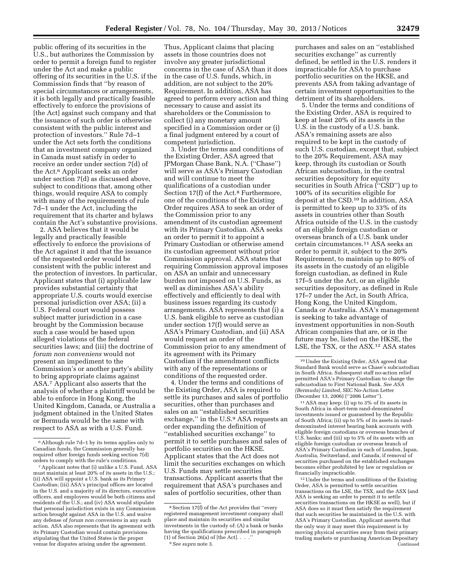public offering of its securities in the U.S., but authorizes the Commission by order to permit a foreign fund to register under the Act and make a public offering of its securities in the U.S. if the Commission finds that ''by reason of special circumstances or arrangements, it is both legally and practically feasible effectively to enforce the provisions of [the Act] against such company and that the issuance of such order is otherwise consistent with the public interest and protection of investors.'' Rule 7d–1 under the Act sets forth the conditions that an investment company organized in Canada must satisfy in order to receive an order under section 7(d) of the Act.6 Applicant seeks an order under section 7(d) as discussed above, subject to conditions that, among other things, would require ASA to comply with many of the requirements of rule 7d–1 under the Act, including the requirement that its charter and bylaws contain the Act's substantive provisions.

2. ASA believes that it would be legally and practically feasible effectively to enforce the provisions of the Act against it and that the issuance of the requested order would be consistent with the public interest and the protection of investors. In particular, Applicant states that (i) applicable law provides substantial certainty that appropriate U.S. courts would exercise personal jurisdiction over ASA; (ii) a U.S. Federal court would possess subject matter jurisdiction in a case brought by the Commission because such a case would be based upon alleged violations of the federal securities laws; and (iii) the doctrine of *forum non conveniens* would not present an impediment to the Commission's or another party's ability to bring appropriate claims against ASA.7 Applicant also asserts that the analysis of whether a plaintiff would be able to enforce in Hong Kong, the United Kingdom, Canada, or Australia a judgment obtained in the United States or Bermuda would be the same with respect to ASA as with a U.S. Fund.

Thus, Applicant claims that placing assets in those countries does not involve any greater jurisdictional concerns in the case of ASA than it does in the case of U.S. funds, which, in addition, are not subject to the 20% Requirement. In addition, ASA has agreed to perform every action and thing necessary to cause and assist its shareholders or the Commission to collect (i) any monetary amount specified in a Commission order or (i) a final judgment entered by a court of competent jurisdiction.

3. Under the terms and conditions of the Existing Order, ASA agreed that JPMorgan Chase Bank, N.A. (''Chase'') will serve as ASA's Primary Custodian and will continue to meet the qualifications of a custodian under Section 17(f) of the Act.<sup>8</sup> Furthermore, one of the conditions of the Existing Order requires ASA to seek an order of the Commission prior to any amendment of its custodian agreement with its Primary Custodian. ASA seeks an order to permit it to appoint a Primary Custodian or otherwise amend its custodian agreement without prior Commission approval. ASA states that requiring Commission approval imposes on ASA an unfair and unnecessary burden not imposed on U.S. Funds, as well as diminishes ASA's ability effectively and efficiently to deal with business issues regarding its custody arrangements. ASA represents that (i) a U.S. bank eligible to serve as custodian under section 17(f) would serve as ASA's Primary Custodian, and (ii) ASA would request an order of the Commission prior to any amendment of its agreement with its Primary Custodian if the amendment conflicts with any of the representations or conditions of the requested order.

4. Under the terms and conditions of the Existing Order, ASA is required to settle its purchases and sales of portfolio securities, other than purchases and sales on an ''established securities exchange," in the U.S.<sup>9</sup> ASA requests an order expanding the definition of ''established securities exchange'' to permit it to settle purchases and sales of portfolio securities on the HKSE. Applicant states that the Act does not limit the securities exchanges on which U.S. Funds may settle securities transactions. Applicant asserts that the requirement that ASA's purchases and sales of portfolio securities, other than

purchases and sales on an ''established securities exchange'' as currently defined, be settled in the U.S. renders it impracticable for ASA to purchase portfolio securities on the HKSE, and prevents ASA from taking advantage of certain investment opportunities to the detriment of its shareholders.

5. Under the terms and conditions of the Existing Order, ASA is required to keep at least 20% of its assets in the U.S. in the custody of a U.S. bank. ASA's remaining assets are also required to be kept in the custody of such U.S. custodian, except that, subject to the 20% Requirement, ASA may keep, through its custodian or South African subcustodian, in the central securities depository for equity securities in South Africa ("CSD") up to 100% of its securities eligible for deposit at the CSD.10 In addition, ASA is permitted to keep up to 33% of its assets in countries other than South Africa outside of the U.S. in the custody of an eligible foreign custodian or overseas branch of a U.S. bank under certain circumstances.11 ASA seeks an order to permit it, subject to the 20% Requirement, to maintain up to 80% of its assets in the custody of an eligible foreign custodian, as defined in Rule 17f–5 under the Act, or an eligible securities depository, as defined in Rule 17f–7 under the Act, in South Africa, Hong Kong, the United Kingdom, Canada or Australia. ASA's management is seeking to take advantage of investment opportunities in non-South African companies that are, or in the future may be, listed on the HKSE, the LSE, the TSX, or the ASX.12 ASA states

11ASA may keep: (i) up to 3% of its assets in South Africa in short-term rand-denominated investments issued or guaranteed by the Republic of South Africa; (ii) up to 5% of its assets in randdenominated interest bearing bank accounts with eligible foreign custodians or overseas branches of U.S. banks; and (iii) up to 5% of its assets with an eligible foreign custodian or overseas branch of ASA's Primary Custodian in each of London, Japan, Australia, Switzerland, and Canada, if removal of securities purchased on the established exchanges becomes either prohibited by law or regulation or financially impracticable.

12Under the terms and conditions of the Existing Order, ASA is permitted to settle securities transactions on the LSE, the TSX, and the ASX (and ASA is seeking an order to permit it to settle securities transactions on the HKSE as well), but if ASA does so it must then satisfy the requirement that such securities be maintained in the U.S. with ASA's Primary Custodian. Applicant asserts that the only way it may meet this requirement is by moving physical securities away from their primary trading markets or purchasing American Depositary Continued

<sup>6</sup>Although rule 7d–1 by its terms applies only to Canadian funds, the Commission generally has required other foreign funds seeking section 7(d) orders to comply with the rule's conditions.

<sup>7</sup>Applicant notes that (i) unlike a U.S. Fund, ASA must maintain at least 20% of its assets in the U.S.; (ii) ASA will appoint a U.S. bank as its Primary Custodian; (iii) ASA's principal offices are located in the U.S. and a majority of its directors, executive officers, and employees would be both citizens and residents of the U.S.; and (iv) ASA would stipulate that personal jurisdiction exists in any Commission action brought against ASA in the U.S. and waive any defense of *forum non conveniens* in any such action. ASA also represents that its agreement with its Primary Custodian would contain provisions stipulating that the United States is the proper venue for disputes arising under the agreement.

<sup>8</sup>Section 17(f) of the Act provides that ''every registered management investment company shall place and maintain its securities and similar investments in the custody of: (A) a bank or banks having the qualifications prescribed in paragraph (1) of Section 26(a) of  $[the Act]$ . . . 9*See supra* note 3.

<sup>10</sup>Under the Existing Order, ASA agreed that Standard Bank would serve as Chase's subcustodian in South Africa. Subsequent staff no-action relief permitted ASA's Primary Custodian to change the subcustodian to First National Bank. *See ASA (Bermuda) Limited,* SEC No-Action Letter (December 13, 2006) (''2006 Letter'').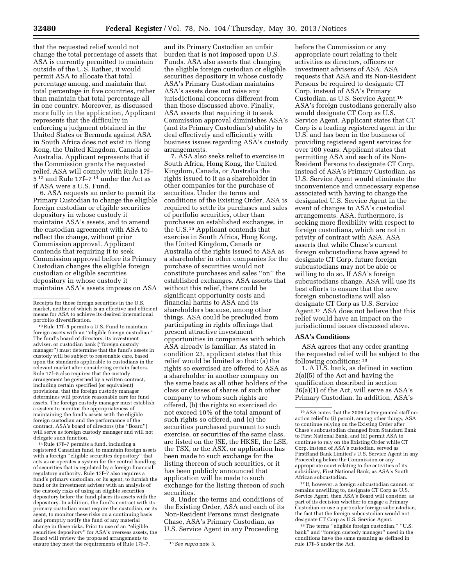that the requested relief would not change the total percentage of assets that ASA is currently permitted to maintain outside of the U.S. Rather, it would permit ASA to allocate that total percentage among, and maintain that total percentage in five countries, rather than maintain that total percentage all in one country. Moreover, as discussed more fully in the application, Applicant represents that the difficulty in enforcing a judgment obtained in the United States or Bermuda against ASA in South Africa does not exist in Hong Kong, the United Kingdom, Canada or Australia. Applicant represents that if the Commission grants the requested relief, ASA will comply with Rule 17f– 5 13 and Rule 17f–7 14 under the Act as if ASA were a U.S. Fund.

6. ASA requests an order to permit its Primary Custodian to change the eligible foreign custodian or eligible securities depository in whose custody it maintains ASA's assets, and to amend the custodian agreement with ASA to reflect the change, without prior Commission approval. Applicant contends that requiring it to seek Commission approval before its Primary Custodian changes the eligible foreign custodian or eligible securities depository in whose custody it maintains ASA's assets imposes on ASA

13Rule 17f–5 permits a U.S. Fund to maintain foreign assets with an ''eligible foreign custodian.'' The fund's board of directors, its investment adviser, or custodian bank (''foreign custody manager'') must determine that the fund's assets in custody will be subject to reasonable care, based upon the standards applicable to custodians in the relevant market after considering certain factors. Rule 17f–5 also requires that the custody arrangement be governed by a written contract, including certain specified (or equivalent) provisions, that the foreign custody manager determines will provide reasonable care for fund assets. The foreign custody manager must establish a system to monitor the appropriateness of maintaining the fund's assets with the eligible foreign custodian and the performance of the contract. ASA's board of directors (the ''Board'') will serve as foreign custody manager and will not delegate such function.

14Rule 17f–7 permits a fund, including a registered Canadian fund, to maintain foreign assets with a foreign ''eligible securities depository'' that acts as or operates a system for the central handling of securities that is regulated by a foreign financial regulatory authority. Rule 17f–7 also requires a fund's primary custodian, or its agent, to furnish the fund or its investment adviser with an analysis of the custody risks of using an eligible securities depository before the fund places its assets with the depository. In addition, the fund's contract with its primary custodian must require the custodian, or its agent, to monitor these risks on a continuing basis and promptly notify the fund of any material change in these risks. Prior to use of an ''eligible securities depository'' for ASA's overseas assets, the Board will review the proposed arrangements to ensure they meet the requirements of Rule 17f–7. 15*See supra* note 3.

and its Primary Custodian an unfair burden that is not imposed upon U.S. Funds. ASA also asserts that changing the eligible foreign custodian or eligible securities depository in whose custody ASA's Primary Custodian maintains ASA's assets does not raise any jurisdictional concerns different from than those discussed above. Finally, ASA asserts that requiring it to seek Commission approval diminishes ASA's (and its Primary Custodian's) ability to deal effectively and efficiently with business issues regarding ASA's custody arrangements.

7. ASA also seeks relief to exercise in South Africa, Hong Kong, the United Kingdom, Canada, or Australia the rights issued to it as a shareholder in other companies for the purchase of securities. Under the terms and conditions of the Existing Order, ASA is required to settle its purchases and sales of portfolio securities, other than purchases on established exchanges, in the U.S.15 Applicant contends that exercise in South Africa, Hong Kong, the United Kingdom, Canada or Australia of the rights issued to ASA as a shareholder in other companies for the purchase of securities would not constitute purchases and sales ''on'' the established exchanges. ASA asserts that without this relief, there could be significant opportunity costs and financial harms to ASA and its shareholders because, among other things, ASA could be precluded from participating in rights offerings that present attractive investment opportunities in companies with which ASA already is familiar. As stated in condition 23, applicant states that this relief would be limited so that: (a) the rights so exercised are offered to ASA as a shareholder in another company on the same basis as all other holders of the class or classes of shares of such other company to whom such rights are offered, (b) the rights so exercised do not exceed 10% of the total amount of such rights so offered, and (c) the securities purchased pursuant to such exercise, or securities of the same class, are listed on the JSE, the HKSE, the LSE, the TSX, or the ASX, or application has been made to such exchange for the listing thereon of such securities, or it has been publicly announced that application will be made to such exchange for the listing thereon of such securities.

8. Under the terms and conditions of the Existing Order, ASA and each of its Non-Resident Persons must designate Chase, ASA's Primary Custodian, as U.S. Service Agent in any Proceeding

before the Commission or any appropriate court relating to their activities as directors, officers or investment advisers of ASA. ASA requests that ASA and its Non-Resident Persons be required to designate CT Corp, instead of ASA's Primary Custodian, as U.S. Service Agent.16 ASA's foreign custodians generally also would designate CT Corp as U.S. Service Agent. Applicant states that CT Corp is a leading registered agent in the U.S. and has been in the business of providing registered agent services for over 100 years. Applicant states that permitting ASA and each of its Non-Resident Persons to designate CT Corp, instead of ASA's Primary Custodian, as U.S. Service Agent would eliminate the inconvenience and unnecessary expense associated with having to change the designated U.S. Service Agent in the event of changes to ASA's custodial arrangements. ASA, furthermore, is seeking more flexibility with respect to foreign custodians, which are not in privity of contract with ASA. ASA asserts that while Chase's current foreign subcustodians have agreed to designate CT Corp, future foreign subcustodians may not be able or willing to do so. If ASA's foreign subcustodians change, ASA will use its best efforts to ensure that the new foreign subcustodians will also designate CT Corp as U.S. Service Agent.17 ASA does not believe that this relief would have an impact on the jurisdictional issues discussed above.

### **ASA's Conditions**

ASA agrees that any order granting the requested relief will be subject to the following conditions: 18

1. A U.S. bank, as defined in section 2(a)(5) of the Act and having the qualification described in section 26(a)(1) of the Act, will serve as ASA's Primary Custodian. In addition, ASA's

17 If, however, a foreign subcustodian cannot, or remains unwilling to, designate CT Corp as U.S. Service Agent, then ASA's Board will consider, as part of its decision whether to engage a Primary Custodian or use a particular foreign subcustodian, the fact that the foreign subcustodian would not designate CT Corp as U.S. Service Agent.

 $^{18}\!$  The terms ''eligible foreign custodian,'' ''U.S. bank'' and ''foreign custody manager'' used in the conditions have the same meaning as defined in rule 17f–5 under the Act.

Receipts for those foreign securities in the U.S. market, neither of which is an effective and efficient means for ASA to achieve its desired international portfolio diversification.

<sup>16</sup>ASA notes that the 2006 Letter granted staff noaction relief to (i) permit, among other things, ASA to continue relying on the Existing Order after Chase's subcustodian changed from Standard Bank to First National Bank, and (ii) permit ASA to continue to rely on the Existing Order while CT Corp, instead of ASA's custodian, served as FirstRand Bank Limited's U.S. Service Agent in any Proceeding before the Commission or any appropriate court relating to the activities of its subsidiary, First National Bank, as ASA's South African subcustodian.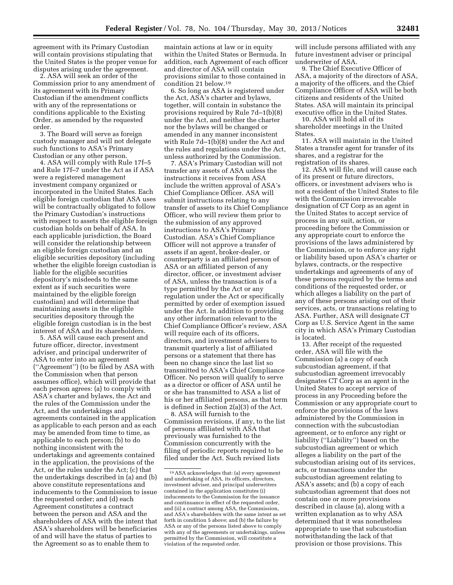agreement with its Primary Custodian will contain provisions stipulating that the United States is the proper venue for disputes arising under the agreement.

2. ASA will seek an order of the Commission prior to any amendment of its agreement with its Primary Custodian if the amendment conflicts with any of the representations or conditions applicable to the Existing Order, as amended by the requested order.

3. The Board will serve as foreign custody manager and will not delegate such functions to ASA's Primary Custodian or any other person.

4. ASA will comply with Rule 17f–5 and Rule 17f–7 under the Act as if ASA were a registered management investment company organized or incorporated in the United States. Each eligible foreign custodian that ASA uses will be contractually obligated to follow the Primary Custodian's instructions with respect to assets the eligible foreign custodian holds on behalf of ASA. In each applicable jurisdiction, the Board will consider the relationship between an eligible foreign custodian and an eligible securities depository (including whether the eligible foreign custodian is liable for the eligible securities depository's misdeeds to the same extent as if such securities were maintained by the eligible foreign custodian) and will determine that maintaining assets in the eligible securities depository through the eligible foreign custodian is in the best interest of ASA and its shareholders.

5. ASA will cause each present and future officer, director, investment adviser, and principal underwriter of ASA to enter into an agreement (''Agreement'') (to be filed by ASA with the Commission when that person assumes office), which will provide that each person agrees: (a) to comply with ASA's charter and bylaws, the Act and the rules of the Commission under the Act, and the undertakings and agreements contained in the application as applicable to each person and as each may be amended from time to time, as applicable to each person; (b) to do nothing inconsistent with the undertakings and agreements contained in the application, the provisions of the Act, or the rules under the Act; (c) that the undertakings described in (a) and (b) above constitute representations and inducements to the Commission to issue the requested order; and (d) each Agreement constitutes a contract between the person and ASA and the shareholders of ASA with the intent that ASA's shareholders will be beneficiaries of and will have the status of parties to the Agreement so as to enable them to

maintain actions at law or in equity within the United States or Bermuda. In addition, each Agreement of each officer and director of ASA will contain provisions similar to those contained in condition 21 below.19

6. So long as ASA is registered under the Act, ASA's charter and bylaws, together, will contain in substance the provisions required by Rule 7d–1(b)(8) under the Act, and neither the charter nor the bylaws will be changed or amended in any manner inconsistent with Rule 7d–1(b)(8) under the Act and the rules and regulations under the Act, unless authorized by the Commission.

7. ASA's Primary Custodian will not transfer any assets of ASA unless the instructions it receives from ASA include the written approval of ASA's Chief Compliance Officer. ASA will submit instructions relating to any transfer of assets to its Chief Compliance Officer, who will review them prior to the submission of any approved instructions to ASA's Primary Custodian. ASA's Chief Compliance Officer will not approve a transfer of assets if an agent, broker-dealer, or counterparty is an affiliated person of ASA or an affiliated person of any director, officer, or investment adviser of ASA, unless the transaction is of a type permitted by the Act or any regulation under the Act or specifically permitted by order of exemption issued under the Act. In addition to providing any other information relevant to the Chief Compliance Officer's review, ASA will require each of its officers, directors, and investment advisers to transmit quarterly a list of affiliated persons or a statement that there has been no change since the last list so transmitted to ASA's Chief Compliance Officer. No person will qualify to serve as a director or officer of ASA until he or she has transmitted to ASA a list of his or her affiliated persons, as that term is defined in Section 2(a)(3) of the Act.

8. ASA will furnish to the Commission revisions, if any, to the list of persons affiliated with ASA that previously was furnished to the Commission concurrently with the filing of periodic reports required to be filed under the Act. Such revised lists

will include persons affiliated with any future investment adviser or principal underwriter of ASA.

9. The Chief Executive Officer of ASA, a majority of the directors of ASA, a majority of the officers, and the Chief Compliance Officer of ASA will be both citizens and residents of the United States. ASA will maintain its principal executive office in the United States.

10. ASA will hold all of its shareholder meetings in the United States.

11. ASA will maintain in the United States a transfer agent for transfer of its shares, and a registrar for the registration of its shares.

12. ASA will file, and will cause each of its present or future directors, officers, or investment advisers who is not a resident of the United States to file with the Commission irrevocable designation of CT Corp as an agent in the United States to accept service of process in any suit, action, or proceeding before the Commission or any appropriate court to enforce the provisions of the laws administered by the Commission, or to enforce any right or liability based upon ASA's charter or bylaws, contracts, or the respective undertakings and agreements of any of these persons required by the terms and conditions of the requested order, or which alleges a liability on the part of any of these persons arising out of their services, acts, or transactions relating to ASA. Further, ASA will designate CT Corp as U.S. Service Agent in the same city in which ASA's Primary Custodian is located.

13. After receipt of the requested order, ASA will file with the Commission (a) a copy of each subcustodian agreement, if that subcustodian agreement irrevocably designates CT Corp as an agent in the United States to accept service of process in any Proceeding before the Commission or any appropriate court to enforce the provisions of the laws administered by the Commission in connection with the subcustodian agreement, or to enforce any right or liability (''Liability'') based on the subcustodian agreement or which alleges a liability on the part of the subcustodian arising out of its services, acts, or transactions under the subcustodian agreement relating to ASA's assets; and (b) a copy of each subcustodian agreement that does not contain one or more provisions described in clause (a), along with a written explanation as to why ASA determined that it was nonetheless appropriate to use that subcustodian notwithstanding the lack of that provision or those provisions. This

<sup>19</sup>ASA acknowledges that: (a) every agreement and undertaking of ASA, its officers, directors, investment adviser, and principal underwriters contained in the application constitutes (i) inducements to the Commission for the issuance and continuance in effect of the requested order, and (ii) a contract among ASA, the Commission, and ASA's shareholders with the same intent as set forth in condition 5 above; and (b) the failure by ASA or any of the persons listed above to comply with any of the agreements or undertakings, unless permitted by the Commission, will constitute a violation of the requested order.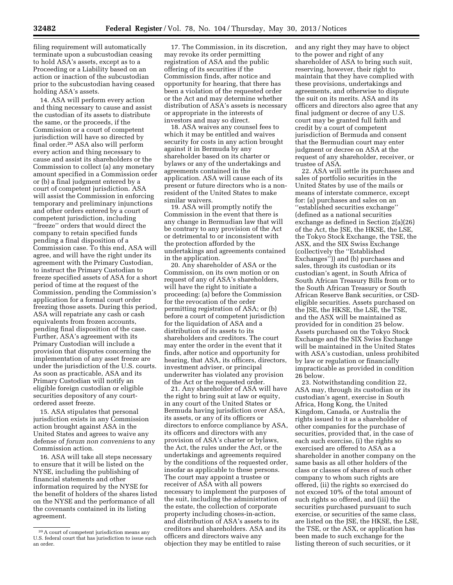filing requirement will automatically terminate upon a subcustodian ceasing to hold ASA's assets, except as to a Proceeding or a Liability based on an action or inaction of the subcustodian prior to the subcustodian having ceased holding ASA's assets.

14. ASA will perform every action and thing necessary to cause and assist the custodian of its assets to distribute the same, or the proceeds, if the Commission or a court of competent jurisdiction will have so directed by final order.20 ASA also will perform every action and thing necessary to cause and assist its shareholders or the Commission to collect (a) any monetary amount specified in a Commission order or (b) a final judgment entered by a court of competent jurisdiction. ASA will assist the Commission in enforcing temporary and preliminary injunctions and other orders entered by a court of competent jurisdiction, including ''freeze'' orders that would direct the company to retain specified funds pending a final disposition of a Commission case. To this end, ASA will agree, and will have the right under its agreement with the Primary Custodian, to instruct the Primary Custodian to freeze specified assets of ASA for a short period of time at the request of the Commission, pending the Commission's application for a formal court order freezing those assets. During this period, ASA will repatriate any cash or cash equivalents from frozen accounts, pending final disposition of the case. Further, ASA's agreement with its Primary Custodian will include a provision that disputes concerning the implementation of any asset freeze are under the jurisdiction of the U.S. courts. As soon as practicable, ASA and its Primary Custodian will notify an eligible foreign custodian or eligible securities depository of any courtordered asset freeze.

15. ASA stipulates that personal jurisdiction exists in any Commission action brought against ASA in the United States and agrees to waive any defense of *forum non conveniens* to any Commission action.

16. ASA will take all steps necessary to ensure that it will be listed on the NYSE, including the publishing of financial statements and other information required by the NYSE for the benefit of holders of the shares listed on the NYSE and the performance of all the covenants contained in its listing agreement.

17. The Commission, in its discretion, may revoke its order permitting registration of ASA and the public offering of its securities if the Commission finds, after notice and opportunity for hearing, that there has been a violation of the requested order or the Act and may determine whether distribution of ASA's assets is necessary or appropriate in the interests of investors and may so direct.

18. ASA waives any counsel fees to which it may be entitled and waives security for costs in any action brought against it in Bermuda by any shareholder based on its charter or bylaws or any of the undertakings and agreements contained in the application. ASA will cause each of its present or future directors who is a nonresident of the United States to make similar waivers.

19. ASA will promptly notify the Commission in the event that there is any change in Bermudian law that will be contrary to any provision of the Act or detrimental to or inconsistent with the protection afforded by the undertakings and agreements contained in the application.

20. Any shareholder of ASA or the Commission, on its own motion or on request of any of ASA's shareholders, will have the right to initiate a proceeding: (a) before the Commission for the revocation of the order permitting registration of ASA; or (b) before a court of competent jurisdiction for the liquidation of ASA and a distribution of its assets to its shareholders and creditors. The court may enter the order in the event that it finds, after notice and opportunity for hearing, that ASA, its officers, directors, investment adviser, or principal underwriter has violated any provision of the Act or the requested order.

21. Any shareholder of ASA will have the right to bring suit at law or equity, in any court of the United States or Bermuda having jurisdiction over ASA, its assets, or any of its officers or directors to enforce compliance by ASA, its officers and directors with any provision of ASA's charter or bylaws, the Act, the rules under the Act, or the undertakings and agreements required by the conditions of the requested order, insofar as applicable to these persons. The court may appoint a trustee or receiver of ASA with all powers necessary to implement the purposes of the suit, including the administration of the estate, the collection of corporate property including choses-in-action, and distribution of ASA's assets to its creditors and shareholders. ASA and its officers and directors waive any objection they may be entitled to raise

and any right they may have to object to the power and right of any shareholder of ASA to bring such suit, reserving, however, their right to maintain that they have complied with these provisions, undertakings and agreements, and otherwise to dispute the suit on its merits. ASA and its officers and directors also agree that any final judgment or decree of any U.S. court may be granted full faith and credit by a court of competent jurisdiction of Bermuda and consent that the Bermudian court may enter judgment or decree on ASA at the request of any shareholder, receiver, or trustee of ASA.

22. ASA will settle its purchases and sales of portfolio securities in the United States by use of the mails or means of interstate commerce, except for: (a) purchases and sales on an ''established securities exchange'' (defined as a national securities exchange as defined in Section 2(a)(26) of the Act, the JSE, the HKSE, the LSE, the Tokyo Stock Exchange, the TSE, the ASX, and the SIX Swiss Exchange (collectively the ''Established Exchanges'')) and (b) purchases and sales, through its custodian or its custodian's agent, in South Africa of South African Treasury Bills from or to the South African Treasury or South African Reserve Bank securities, or CSDeligible securities. Assets purchased on the JSE, the HKSE, the LSE, the TSE, and the ASX will be maintained as provided for in condition 25 below. Assets purchased on the Tokyo Stock Exchange and the SIX Swiss Exchange will be maintained in the United States with ASA's custodian, unless prohibited by law or regulation or financially impracticable as provided in condition 26 below.

23. Notwithstanding condition 22, ASA may, through its custodian or its custodian's agent, exercise in South Africa, Hong Kong, the United Kingdom, Canada, or Australia the rights issued to it as a shareholder of other companies for the purchase of securities, provided that, in the case of each such exercise, (i) the rights so exercised are offered to ASA as a shareholder in another company on the same basis as all other holders of the class or classes of shares of such other company to whom such rights are offered, (ii) the rights so exercised do not exceed 10% of the total amount of such rights so offered, and (iii) the securities purchased pursuant to such exercise, or securities of the same class, are listed on the JSE, the HKSE, the LSE, the TSE, or the ASX, or application has been made to such exchange for the listing thereon of such securities, or it

<sup>20</sup>A court of competent jurisdiction means any U.S. federal court that has jurisdiction to issue such an order.